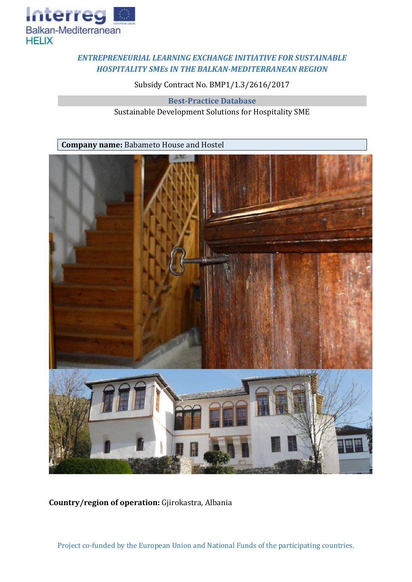

## *ENTREPRENEURIAL LEARNING EXCHANGE INITIATIVE FOR SUSTAINABLE HOSPITALITY SMEs IN THE BALKAN-MEDITERRANEAN REGION*

Subsidy Contract No. BMP1/1.3/2616/2017

**Best-Practice Database** Sustainable Development Solutions for Hospitality SME

**Company name:** Babameto House and Hostel



**Country/region of operation:** Gjirokastra, Albania

Project co-funded by the European Union and National Funds of the participating countries.